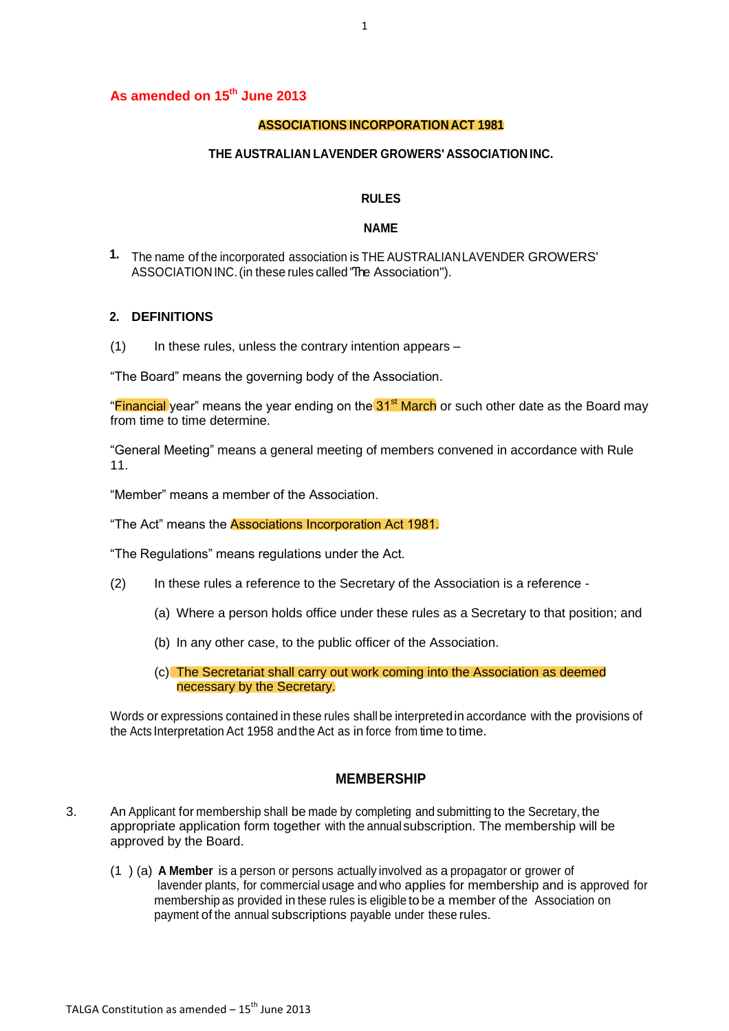### **As amended on 15th June 2013**

### **ASSOCIATIONS INCORPORATION ACT 1981**

#### **THE AUSTRALIAN LAVENDER GROWERS' ASSOCIATION INC.**

### **RULES**

#### **NAME**

**1.** The name of the incorporated association is THE AUSTRALIANLAVENDER GROWERS' ASSOCIATIONINC.(in these rules called "The Association").

### **2. DEFINITIONS**

 $(1)$  In these rules, unless the contrary intention appears –

"The Board" means the governing body of the Association.

"Financial year" means the year ending on the 31<sup>st</sup> March or such other date as the Board may from time to time determine.

"General Meeting" means a general meeting of members convened in accordance with Rule 11.

"Member" means a member of the Association.

"The Act" means the Associations Incorporation Act 1981.

"The Regulations" means regulations under the Act.

- (2) In these rules a reference to the Secretary of the Association is a reference
	- (a) Where a person holds office under these rules as a Secretary to that position; and
	- (b) In any other case, to the public officer of the Association.
	- (c) The Secretariat shall carry out work coming into the Association as deemed necessary by the Secretary.

Words or expressions contained in these rules shall be interpretedin accordance with the provisions of the Acts Interpretation Act 1958 and the Act as in force from time to time.

### **MEMBERSHIP**

- 3. An Applicant for membership shall be made by completing and submitting to the Secretary, the appropriate application form together with the annual subscription. The membership will be approved by the Board.
	- (1 ) (a) **A Member** is a person or persons actually involved as a propagator or grower of lavender plants, for commercial usage and who applies for membership and is approved for membership as provided in these rules is eligible to be a member of the Association on payment of the annual subscriptions payable under these rules.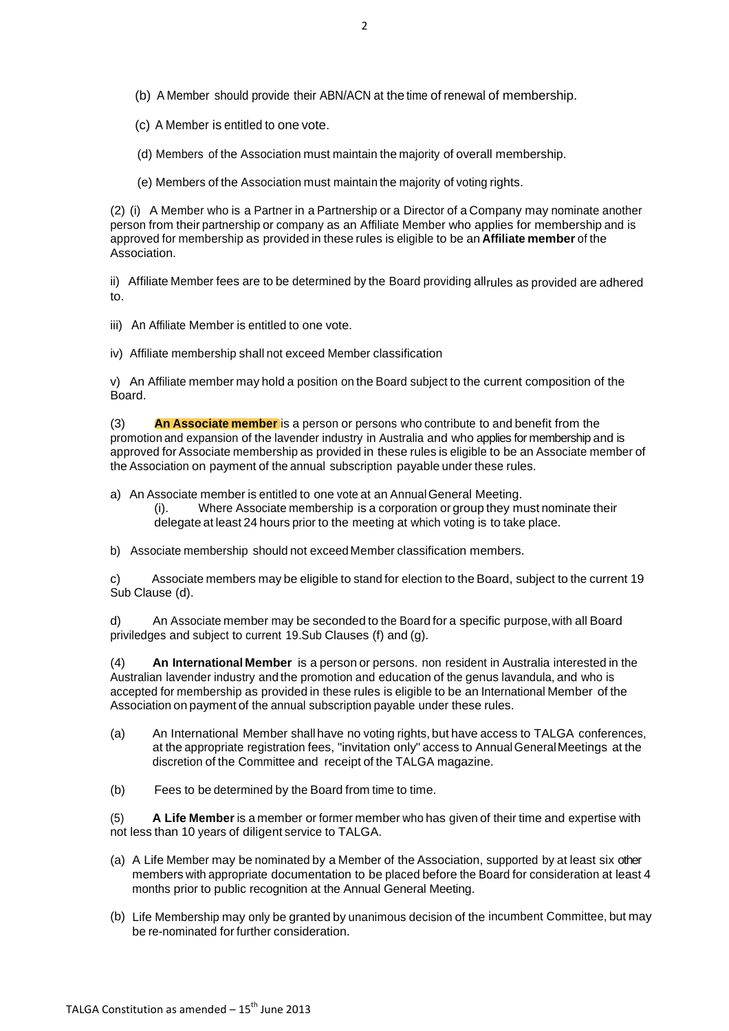(b) A Member should provide their ABN/ACN at the time of renewal of membership.

(c) A Member is entitled to one vote.

(d) Members of the Association must maintain the majority of overall membership.

(e) Members of the Association must maintain the majority of voting rights.

(2) (i) A Member who is a Partner in a Partnership or a Director of a Company may nominate another person from their partnership or company as an Affiliate Member who applies for membership and is approved for membership as provided in these rules is eligible to be an **Affiliate member** of the Association.

ii) Affiliate Member fees are to be determined by the Board providing allrules as provided are adhered to.

- iii) An Affiliate Member is entitled to one vote.
- iv) Affiliate membership shall not exceed Member classification

v) An Affiliate member may hold a position on the Board subject to the current composition of the Board.

(3) **An Associate member** is a person or persons who contribute to and benefit from the promotion and expansion of the lavender industry in Australia and who applies for membership and is approved for Associate membership as provided in these rules is eligible to be an Associate member of the Association on payment of the annual subscription payable under these rules.

- a) An Associate member is entitled to one vote at an AnnualGeneral Meeting. (i). Where Associate membership is a corporation or group they must nominate their delegate at least 24 hours prior to the meeting at which voting is to take place.
- b) Associate membership should not exceed Member classification members.

c) Associate members may be eligible to stand for election to the Board, subject to the current 19 Sub Clause (d).

d) An Associate member may be seconded to the Board for a specific purpose,with all Board priviledges and subject to current 19.Sub Clauses (f) and (g).

(4) **An International Member** is a person or persons. non resident in Australia interested in the Australian lavender industry and the promotion and education of the genus lavandula, and who is accepted for membership as provided in these rules is eligible to be an International Member of the Association on payment of the annual subscription payable under these rules.

- (a) An International Member shallhave no voting rights, but have access to TALGA conferences, at the appropriate registration fees, "invitation only" access to AnnualGeneralMeetings at the discretion of the Committee and receipt of the TALGA magazine.
- (b) Fees to be determined by the Board from time to time.

(5) **A Life Member** is a member or former member who has given of their time and expertise with not less than 10 years of diligent service to TALGA.

- (a) A Life Member may be nominated by a Member of the Association, supported by at least six other members with appropriate documentation to be placed before the Board for consideration at least 4 months prior to public recognition at the Annual General Meeting.
- (b) Life Membership may only be granted by unanimous decision of the incumbent Committee, but may be re-nominated for further consideration.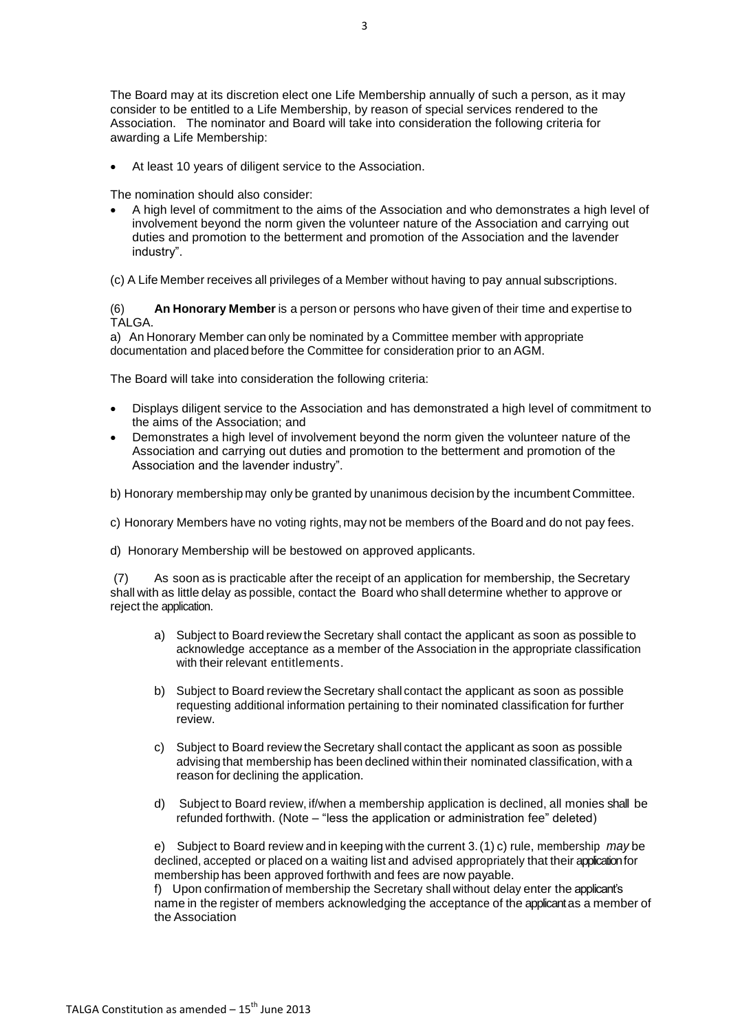At least 10 years of diligent service to the Association.

The nomination should also consider:

 A high level of commitment to the aims of the Association and who demonstrates a high level of involvement beyond the norm given the volunteer nature of the Association and carrying out duties and promotion to the betterment and promotion of the Association and the lavender industry".

(c) A Life Member receives all privileges of a Member without having to pay annual subscriptions.

(6) **An Honorary Member**is a person or persons who have given of their time and expertise to TALGA.

a) An Honorary Member can only be nominated by a Committee member with appropriate documentation and placed before the Committee for consideration prior to an AGM.

The Board will take into consideration the following criteria:

- Displays diligent service to the Association and has demonstrated a high level of commitment to the aims of the Association; and
- Demonstrates a high level of involvement beyond the norm given the volunteer nature of the Association and carrying out duties and promotion to the betterment and promotion of the Association and the lavender industry".
- b) Honorary membership may only be granted by unanimous decision by the incumbent Committee.
- c) Honorary Members have no voting rights, may not be members of the Board and do not pay fees.
- d) Honorary Membership will be bestowed on approved applicants.

(7) As soon as is practicable after the receipt of an application for membership, the Secretary shall with as little delay as possible, contact the Board who shall determine whether to approve or reject the application.

- a) Subject to Board review the Secretary shall contact the applicant as soon as possible to acknowledge acceptance as a member of the Association in the appropriate classification with their relevant entitlements.
- b) Subject to Board review the Secretary shall contact the applicant as soon as possible requesting additional information pertaining to their nominated classification for further review.
- c) Subject to Board review the Secretary shall contact the applicant as soon as possible advising that membership has been declined within their nominated classification, with a reason for declining the application.
- d) Subject to Board review, if/when a membership application is declined, all monies shall be refunded forthwith. (Note – "less the application or administration fee" deleted)

e) Subject to Board review and in keeping with the current 3.(1) c) rule, membership *may* be declined, accepted or placed on a waiting list and advised appropriately that their application for membership has been approved forthwith and fees are now payable.

f) Upon confirmation of membership the Secretary shall without delay enter the applicant's name in the register of members acknowledging the acceptance of the applicant as a member of the Association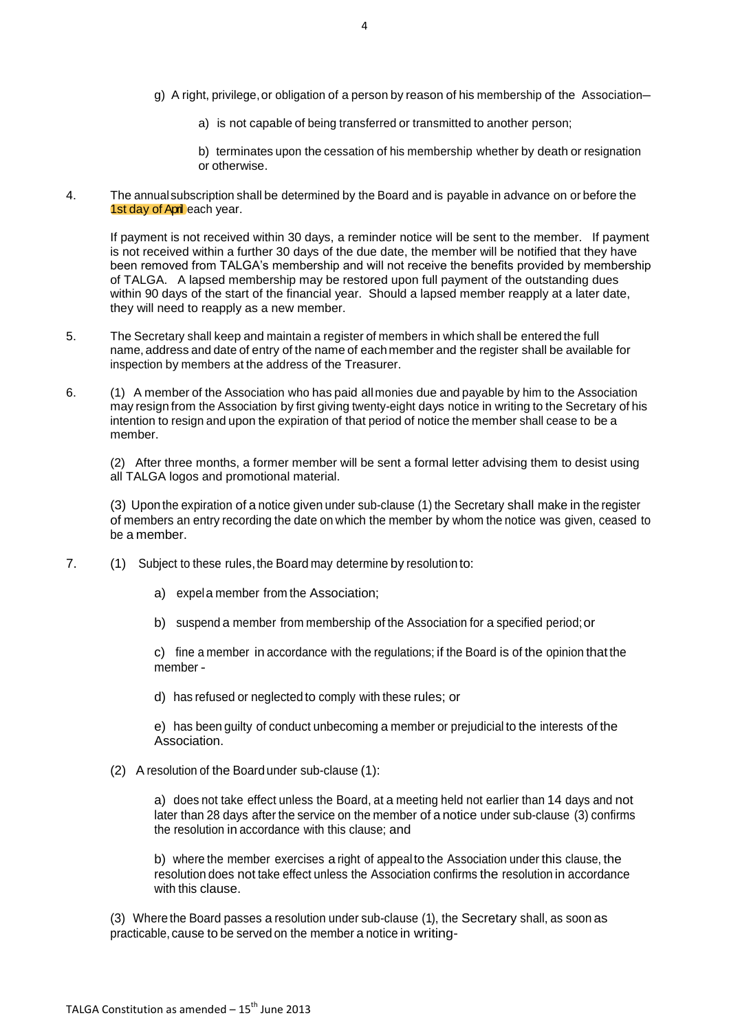- g) A right, privilege,or obligation of a person by reason of his membership of the Association–
	- a) is not capable of being transferred or transmitted to another person;
	- b) terminates upon the cessation of his membership whether by death or resignation or otherwise.
- 4. The annualsubscription shall be determined by the Board and is payable in advance on or before the 1st day of April each year.

If payment is not received within 30 days, a reminder notice will be sent to the member. If payment is not received within a further 30 days of the due date, the member will be notified that they have been removed from TALGA's membership and will not receive the benefits provided by membership of TALGA. A lapsed membership may be restored upon full payment of the outstanding dues within 90 days of the start of the financial year. Should a lapsed member reapply at a later date, they will need to reapply as a new member.

- 5. The Secretary shall keep and maintain a register of members in which shall be entered the full name, address and date of entry of the name of eachmember and the register shall be available for inspection by members at the address of the Treasurer.
- 6. (1) A member of the Association who has paid allmonies due and payable by him to the Association may resign from the Association by first giving twenty-eight days notice in writing to the Secretary of his intention to resign and upon the expiration of that period of notice the member shall cease to be a member.

(2) After three months, a former member will be sent a formal letter advising them to desist using all TALGA logos and promotional material.

(3) Upon the expiration of a notice given under sub-clause (1) the Secretary shall make in the register of members an entry recording the date on which the member by whom the notice was given, ceased to be a member.

- 7. (1) Subject to these rules,the Board may determine by resolution to:
	- a) expela member from the Association;
	- b) suspend a member from membership of the Association for a specified period;or

c) fine a member in accordance with the regulations; if the Board is of the opinion that the member -

d) has refused or neglected to comply with these rules; or

e) has been guilty of conduct unbecoming a member or prejudicial to the interests of the Association.

(2) A resolution of the Boardunder sub-clause (1):

a) does not take effect unless the Board, at a meeting held not earlier than 14 days and not later than 28 days after the service on the member of a notice under sub-clause (3) confirms the resolution in accordance with this clause; and

b) where the member exercises a right of appealto the Association under this clause, the resolution does not take effect unless the Association confirms the resolution in accordance with this clause.

(3) Where the Board passes a resolution under sub-clause (1), the Secretary shall, as soon as practicable, cause to be served on the member a notice in writing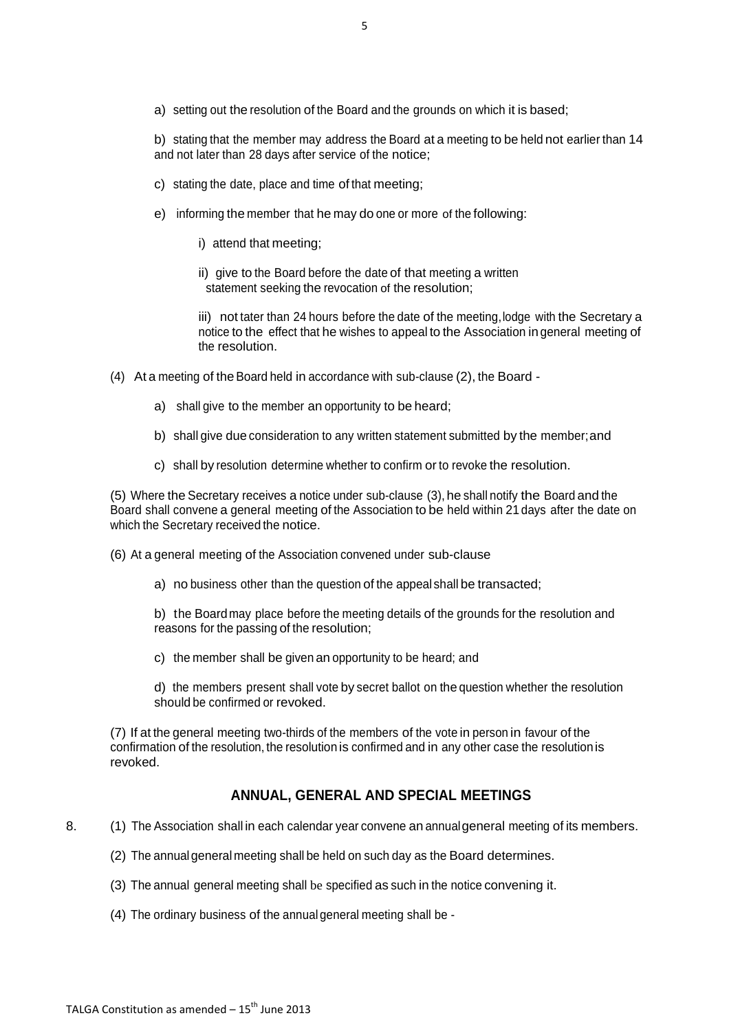b) stating that the member may address the Board at a meeting to be held not earlier than 14 and not later than 28 days after service of the notice;

- c) stating the date, place and time of that meeting;
- e) informing the member that he may do one or more of the following:
	- i) attend that meeting;
	- ii) give to the Board before the date of that meeting a written statement seeking the revocation of the resolution;

iii) not tater than 24 hours before the date of the meeting,lodge with the Secretary a notice to the effect that he wishes to appeal to the Association ingeneral meeting of the resolution.

- (4) At a meeting of the Board held in accordance with sub-clause (2), the Board
	- a) shall give to the member an opportunity to be heard;
	- b) shall give due consideration to any written statement submitted by the member;and
	- c) shall by resolution determine whether to confirm or to revoke the resolution.

(5) Where the Secretary receives a notice under sub-clause (3), he shall notify the Board and the Board shall convene a general meeting of the Association to be held within 21 days after the date on which the Secretary received the notice.

(6) At a general meeting of the Association convened under sub-clause

a) no business other than the question of the appeal shall be transacted;

b) the Boardmay place before the meeting details of the grounds for the resolution and reasons for the passing of the resolution;

c) the member shall be given an opportunity to be heard; and

d) the members present shall vote by secret ballot on the question whether the resolution should be confirmed or revoked.

(7) If at the general meeting two-thirds of the members of the vote in person in favour of the confirmation of the resolution, the resolution is confirmed and in any other case the resolutionis revoked.

# **ANNUAL, GENERAL AND SPECIAL MEETINGS**

- 8. (1) The Association shall in each calendar year convene an annualgeneral meeting of its members.
	- (2) The annualgeneral meeting shall be held on such day as the Board determines.
	- (3) The annual general meeting shall be specified as such in the notice convening it.
	- (4) The ordinary business of the annual general meeting shall be -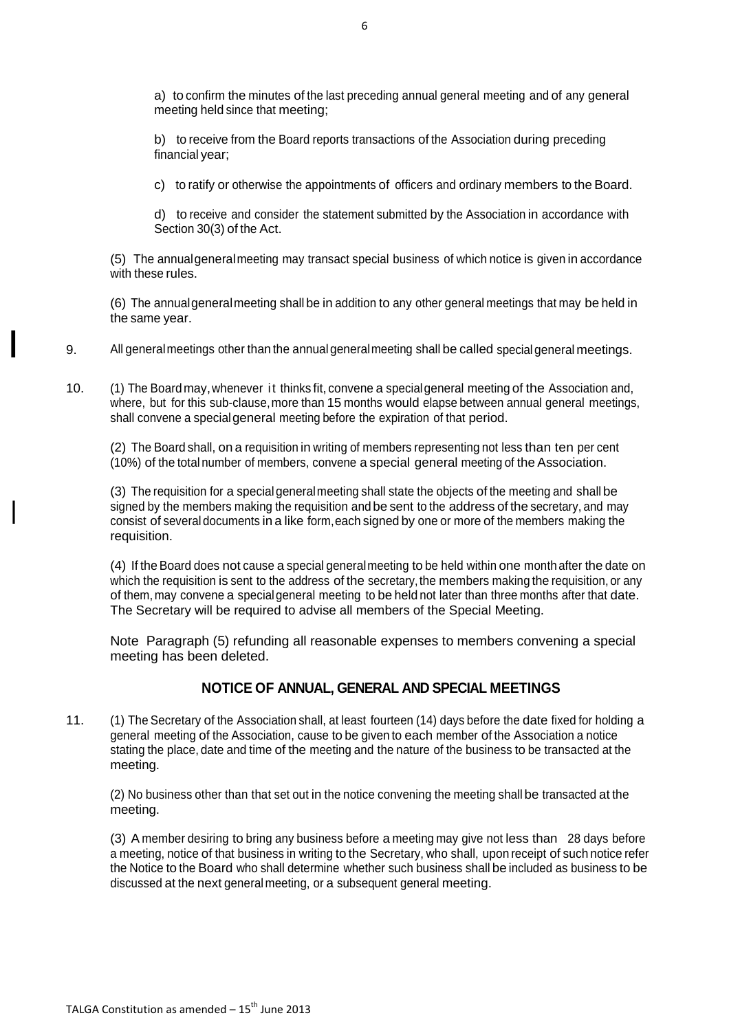a) to confirm the minutes of the last preceding annual general meeting and of any general meeting held since that meeting;

b) to receive from the Board reports transactions of the Association during preceding financial year;

c) to ratify or otherwise the appointments of officers and ordinary members to the Board.

d) to receive and consider the statement submitted by the Association in accordance with Section 30(3) of the Act.

(5) The annualgeneralmeeting may transact special business of which notice is given in accordance with these rules.

(6) The annualgeneralmeeting shall be in addition to any other general meetings that may be held in the same year.

9. All generalmeetings other than the annual generalmeeting shall be called special general meetings.

10. (1) The Boardmay,whenever i t thinks fit, convene a specialgeneral meeting of the Association and, where, but for this sub-clause, more than 15 months would elapse between annual general meetings, shall convene a specialgeneral meeting before the expiration of that period.

(2) The Board shall, on a requisition in writing of members representing not less than ten per cent (10%) of the total number of members, convene a special general meeting of the Association.

(3) The requisition for a specialgeneralmeeting shall state the objects of the meeting and shall be signed by the members making the requisition and be sent to the address of the secretary, and may consist of several documents in a like form,each signed by one or more of the members making the requisition.

(4) If theBoard does not cause a special generalmeeting to be held within one monthafter the date on which the requisition is sent to the address of the secretary, the members making the requisition, or any of them, may convene a specialgeneral meeting to be held not later than three months after that date. The Secretary will be required to advise all members of the Special Meeting.

Note Paragraph (5) refunding all reasonable expenses to members convening a special meeting has been deleted.

## **NOTICE OF ANNUAL, GENERAL AND SPECIAL MEETINGS**

11. (1) The Secretary of the Association shall, at least fourteen (14) days before the date fixed for holding a general meeting of the Association, cause to be given to each member of the Association a notice stating the place, date and time of the meeting and the nature of the business to be transacted at the meeting.

(2) No business other than that set out in the notice convening the meeting shall be transacted at the meeting.

(3) A member desiring to bring any business before a meeting may give not less than 28 days before a meeting, notice of that business in writing to the Secretary, who shall, upon receipt of such notice refer the Notice to the Board who shall determine whether such business shall be included as business to be discussed at the next general meeting, or a subsequent general meeting.

l

l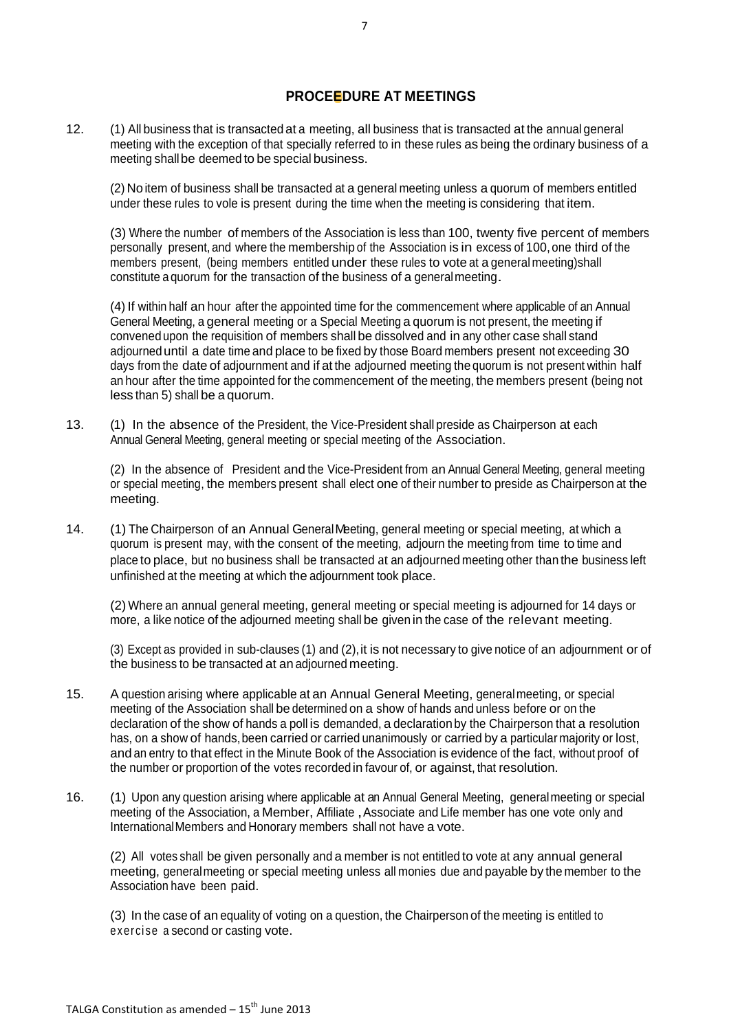### **PROCEEDURE AT MEETINGS**

12. (1) All business that is transacted at a meeting, all business that is transacted at the annual general meeting with the exception of that specially referred to in these rules as being the ordinary business of a meeting shallbe deemed to be special business.

(2) No item of business shall be transacted at a general meeting unless a quorum of members entitled under these rules to vole is present during the time when the meeting is considering that item.

(3) Where the number of members of the Association is less than 100, twenty five percent of members personally present, and where the membership of the Association is in excess of 100,one third of the members present, (being members entitled under these rules to vote at a general meeting)shall constitute aquorum for the transaction of the business of a generalmeeting.

(4) If within half an hour after the appointed time for the commencement where applicable of an Annual General Meeting, a general meeting or a Special Meeting a quorum is not present, the meeting if convened upon the requisition of members shall be dissolved and in any other case shall stand adjourned until a date time and place to be fixed by those Board members present not exceeding 30 days from the date of adjournment and if at the adjourned meeting the quorum is not present within half an hour after the time appointed for the commencement of the meeting, the members present (being not less than 5) shall be a quorum.

13. (1) In the absence of the President, the Vice-President shall preside as Chairperson at each Annual General Meeting, general meeting or special meeting of the Association.

(2) In the absence of President and the Vice-President from an Annual General Meeting, general meeting or special meeting, the members present shall elect one of their number to preside as Chairperson at the meeting.

14. (1) The Chairperson of an Annual GeneralMeeting, general meeting or special meeting, at which a quorum is present may, with the consent of the meeting, adjourn the meeting from time to time and place to place, but no business shall be transacted at an adjourned meeting other than the business left unfinished at the meeting at which the adjournment took place.

(2) Where an annual general meeting, general meeting or special meeting is adjourned for 14 days or more, a like notice of the adjourned meeting shall be given in the case of the relevant meeting.

(3) Except as provided in sub-clauses (1) and (2),it is not necessary to give notice of an adjournment or of the business to be transacted at an adjourned meeting.

- 15. A question arising where applicable at an Annual General Meeting, generalmeeting, or special meeting of the Association shall be determined on a show of hands and unless before or on the declaration of the show of hands a poll is demanded, a declarationby the Chairperson that a resolution has, on a show of hands, been carried or carried unanimously or carried by a particular majority or lost, and an entry to that effect in the Minute Book of the Association is evidence of the fact, without proof of the number or proportion of the votes recorded in favour of, or against, that resolution.
- 16. (1) Upon any question arising where applicable at an Annual General Meeting, generalmeeting or special meeting of the Association, a Member, Affiliate, Associate and Life member has one vote only and InternationalMembers and Honorary members shall not have a vote.

(2) All votes shall be given personally and a member is not entitled to vote at any annual general meeting, generalmeeting or special meeting unless all monies due and payable by the member to the Association have been paid.

(3) In the case of an equality of voting on a question, the Chairperson of the meeting is entitled to exercise a second or casting vote.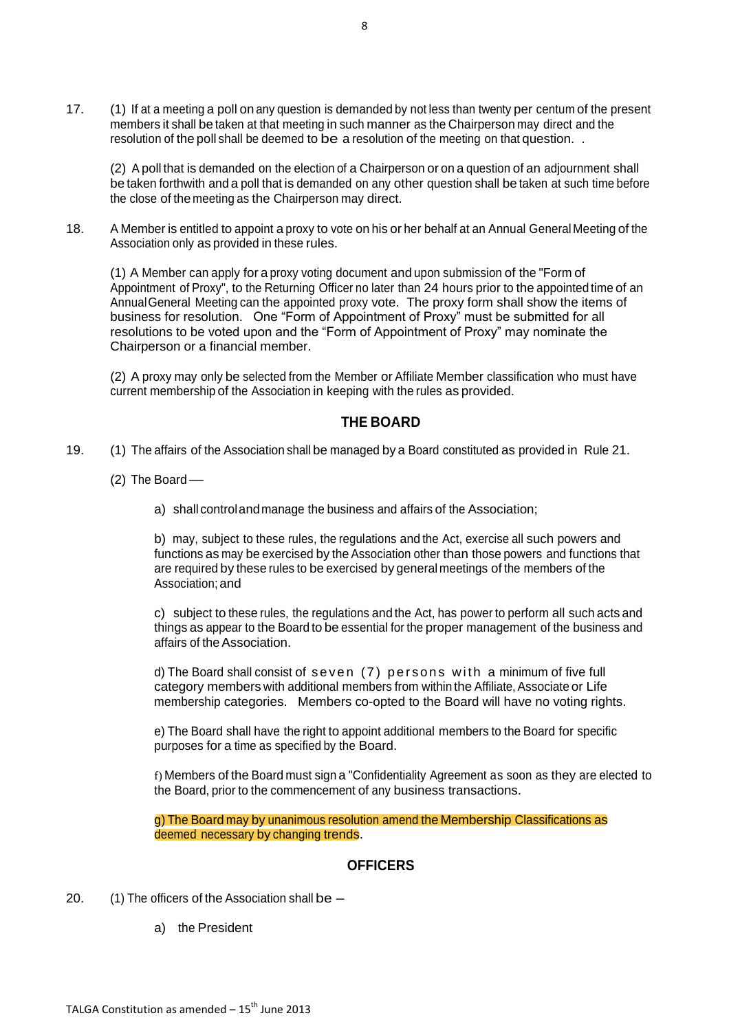17. (1) If at a meeting a poll on any question is demanded by not less than twenty per centum of the present members it shall be taken at that meeting in such manner as the Chairperson may direct and the resolution of the poll shall be deemed to be a resolution of the meeting on that question. .

(2) A poll that is demanded on the election of a Chairperson or on a question of an adjournment shall be taken forthwith and a poll that is demanded on any other question shall be taken at such time before the close of themeeting as the Chairperson may direct.

18. A Member is entitled to appoint a proxy to vote on his or her behalf at an Annual GeneralMeeting of the Association only as provided in these rules.

(1) A Member can apply for a proxy voting document and upon submission of the "Form of Appointment of Proxy", to the Returning Officer no later than 24 hours prior to the appointed time of an AnnualGeneral Meeting can the appointed proxy vote. The proxy form shall show the items of business for resolution. One "Form of Appointment of Proxy" must be submitted for all resolutions to be voted upon and the "Form of Appointment of Proxy" may nominate the Chairperson or a financial member.

(2) A proxy may only be selected from the Member or Affiliate Member classification who must have current membership of the Association in keeping with the rules as provided.

## **THE BOARD**

- 19. (1) The affairs of the Association shall be managed by a Board constituted as provided in Rule 21.
	- $(2)$  The Board
		- a) shall controlandmanage the business and affairs of the Association;

b) may, subject to these rules, the regulations and the Act, exercise all such powers and functions as may be exercised by the Association other than those powers and functions that are required by these rules to be exercised by general meetings of the members of the Association;and

c) subject to these rules, the regulations and the Act, has power to perform all such acts and things as appear to the Board to be essential for the proper management of the business and affairs of the Association.

d) The Board shall consist of seven (7) persons with a minimum of five full category members with additional members from within the Affiliate, Associate or Life membership categories. Members co-opted to the Board will have no voting rights.

e) The Board shall have the right to appoint additional members to the Board for specific purposes for a time as specified by the Board.

f) Members of the Board must sign a "Confidentiality Agreement as soon as they are elected to the Board, prior to the commencement of any business transactions.

g) The Board may by unanimous resolution amend the Membership Classifications as deemed necessary by changing trends.

### **OFFICERS**

- 20. (1) The officers of the Association shall be
	- a) the President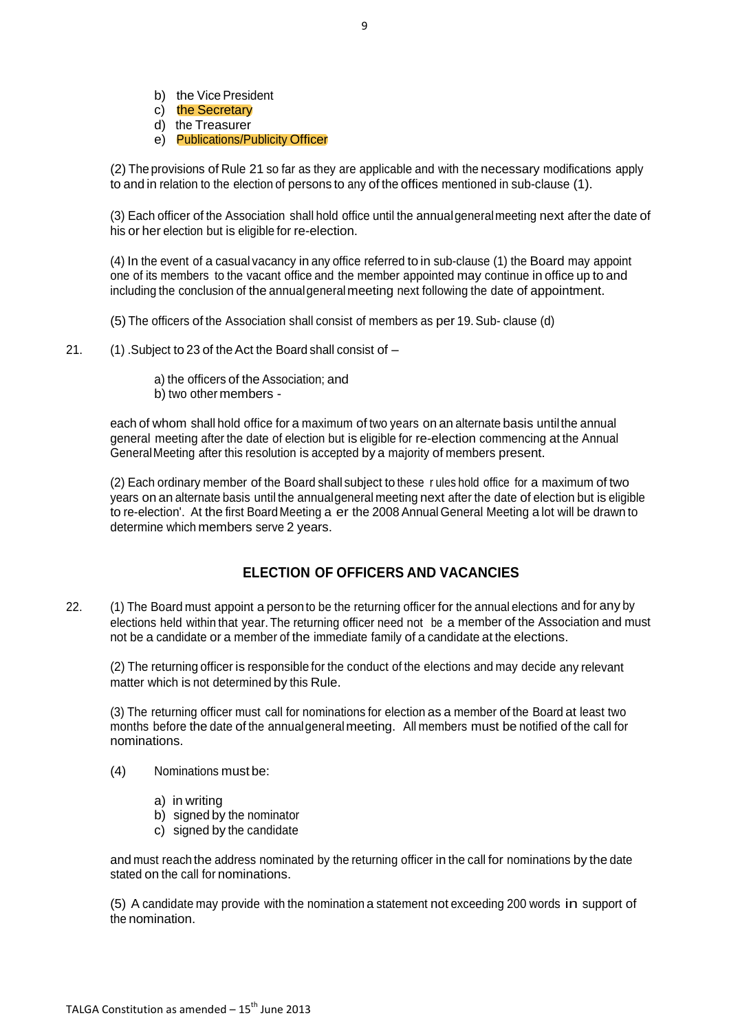- b) the Vice President
- c) the Secretary
- d) the Treasurer
- e) Publications/Publicity Officer

(2) Theprovisions of Rule 21 so far as they are applicable and with the necessary modifications apply to and in relation to the election of persons to any of the offices mentioned in sub-clause (1).

(3) Each officer of the Association shall hold office until the annualgeneralmeeting next after the date of his or her election but is eligible for re-election.

(4) In the event of a casual vacancy in any office referred to in sub-clause (1) the Board may appoint one of its members to the vacant office and the member appointed may continue in office up to and including the conclusion of the annualgeneral meeting next following the date of appointment.

(5) The officers of the Association shall consist of members as per 19.Sub- clause (d)

21. (1) .Subject to 23 of theAct the Board shall consist of –

a) the officers of the Association; and b) two other members -

each of whom shall hold office for a maximum of two years on an alternate basis untilthe annual general meeting after the date of election but is eligible for re-election commencing at the Annual GeneralMeeting after this resolution is accepted by a majority of members present.

(2) Each ordinary member of the Board shall subject to these r ules hold office for a maximum of two years on an alternate basis until the annualgeneral meeting next after the date of election but is eligible to re-election'. At the first Board Meeting a er the 2008 Annual General Meeting a lot will be drawn to determine which members serve 2 years.

## **ELECTION OF OFFICERS AND VACANCIES**

22. (1) The Board must appoint a person to be the returning officer for the annual elections and for any by elections held within that year. The returning officer need not be a member of the Association and must not be a candidate or a member of the immediate family of a candidate at the elections.

(2) The returning officer is responsible for the conduct of the elections and may decide any relevant matter which is not determined by this Rule.

(3) The returning officer must call for nominations for election as a member of the Board at least two months before the date of the annualgeneral meeting. All members must be notified of the call for nominations.

- (4) Nominations must be:
	- a) in writing
	- b) signed by the nominator
	- c) signed by the candidate

and must reach the address nominated by the returning officer in the call for nominations by the date stated on the call for nominations.

(5) A candidate may provide with the nomination a statement not exceeding 200 words in support of the nomination.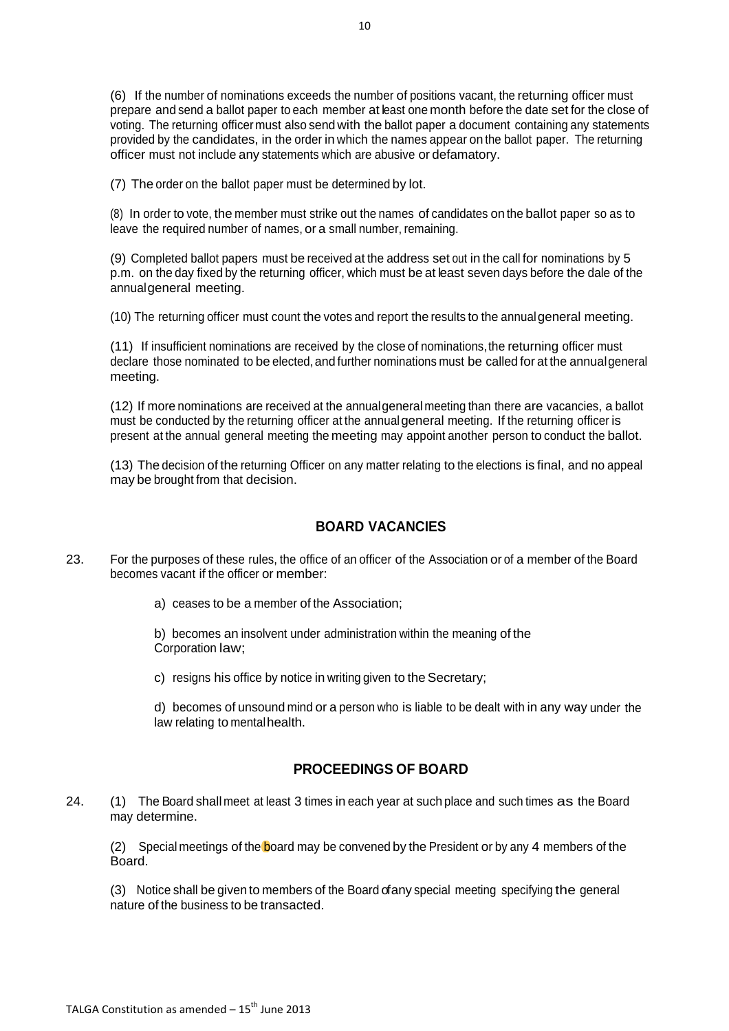(6) If the number of nominations exceeds the number of positions vacant, the returning officer must prepare and send a ballot paper to each member at least one month before the date set for the close of voting. The returning officer must also send with the ballot paper a document containing any statements provided by the candidates, in the order in which the names appear on the ballot paper. The returning officer must not include any statements which are abusive or defamatory.

(7) The order on the ballot paper must be determined by lot.

(8) In order to vote, the member must strike out the names of candidates on the ballot paper so as to leave the required number of names, or a small number, remaining.

(9) Completed ballot papers must be received at the address set out in the call for nominations by 5 p.m. on the day fixed by the returning officer, which must be at least seven days before the dale of the annualgeneral meeting.

(10) The returning officer must count the votes and report the results to the annualgeneral meeting.

(11) If insufficient nominations are received by the close of nominations,the returning officer must declare those nominated to be elected, and further nominations must be called for at the annual general meeting.

(12) If more nominations are received at the annualgeneral meeting than there are vacancies, a ballot must be conducted by the returning officer at the annualgeneral meeting. If the returning officer is present at the annual general meeting the meeting may appoint another person to conduct the ballot.

(13) The decision of the returning Officer on any matter relating to the elections is final, and no appeal may be brought from that decision.

### **BOARD VACANCIES**

- 23. For the purposes of these rules, the office of an officer of the Association or of a member of the Board becomes vacant if the officer or member:
	- a) ceases to be a member of the Association;

b) becomes an insolvent under administration within the meaning of the Corporation law;

c) resigns his office by notice in writing given to the Secretary;

d) becomes of unsound mind or a person who is liable to be dealt with in any way under the law relating to mental health.

### **PROCEEDINGS OF BOARD**

24. (1) The Board shall meet at least 3 times in each year at such place and such times as the Board may determine.

(2) Special meetings of the board may be convened by the President or by any 4 members of the Board.

(3) Notice shall be given to members of the Board of any special meeting specifying the general nature of the business to be transacted.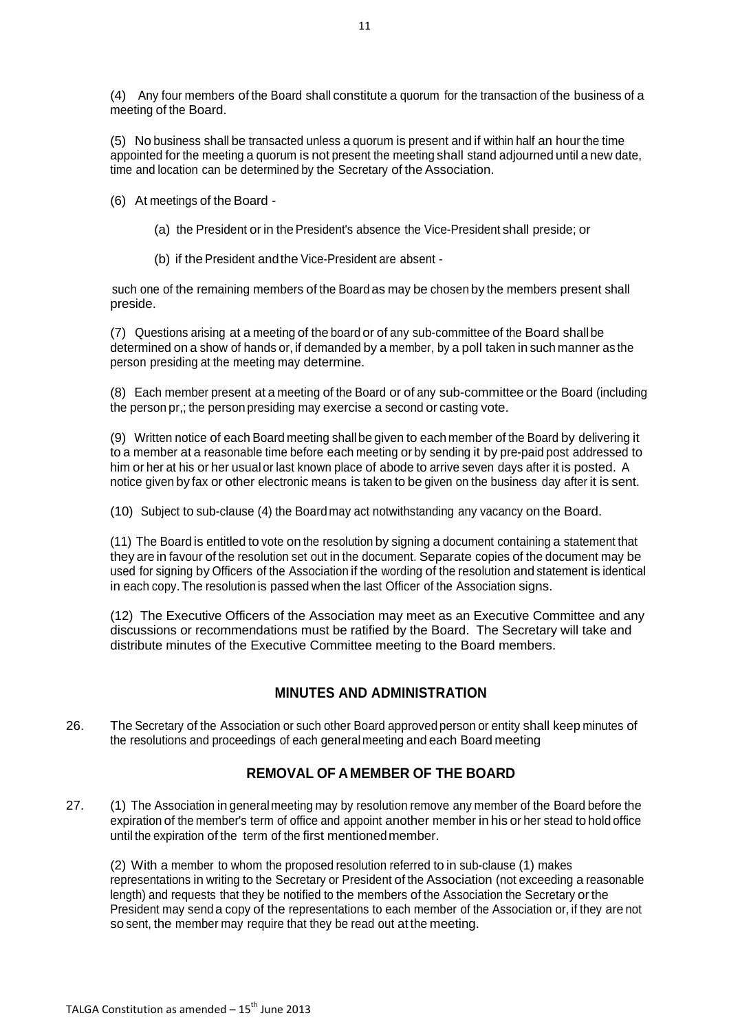(4) Any four members of the Board shall constitute a quorum for the transaction of the business of a meeting of the Board.

(5) No business shall be transacted unless a quorum is present and if within half an hour the time appointed for the meeting a quorum is not present the meeting shall stand adjourned until a new date, time and location can be determined by the Secretary of the Association.

(6) At meetings of the Board -

- (a) the President or in the President's absence the Vice-President shall preside; or
- (b) if the President andthe Vice-President are absent -

such one of the remaining members of the Board as may be chosen by the members present shall preside.

(7) Questions arising at a meeting of the board or of any sub-committee of the Board shallbe determined on a show of hands or, if demanded by a member, by a poll taken in such manner as the person presiding at the meeting may determine.

(8) Each member present at a meeting of the Board or of any sub-committee or the Board (including the person pr,; the person presiding may exercise a second or casting vote.

(9) Written notice of each Board meeting shallbe given to each member of the Board by delivering it to a member at a reasonable time before each meeting or by sending it by pre-paid post addressed to him or her at his or her usual or last known place of abode to arrive seven days after it is posted. A notice given by fax or other electronic means is taken to be given on the business day after it is sent.

(10) Subject to sub-clause (4) the Boardmay act notwithstanding any vacancy on the Board.

(11) The Board is entitled to vote on the resolution by signing a document containing a statement that they are in favour of the resolution set out in the document. Separate copies of the document may be used for signing by Officers of the Association if the wording of the resolution and statement is identical in each copy.The resolution is passed when the last Officer of the Association signs.

(12) The Executive Officers of the Association may meet as an Executive Committee and any discussions or recommendations must be ratified by the Board. The Secretary will take and distribute minutes of the Executive Committee meeting to the Board members.

# **MINUTES AND ADMINISTRATION**

26. The Secretary of the Association or such other Board approvedperson or entity shall keep minutes of the resolutions and proceedings of each generalmeeting and each Board meeting

# **REMOVAL OF A MEMBER OF THE BOARD**

27. (1) The Association in generalmeeting may by resolution remove any member of the Board before the expiration of the member's term of office and appoint another member in his or her stead to hold office until the expiration of the term of the first mentionedmember.

(2) With a member to whom the proposed resolution referred to in sub-clause (1) makes representations in writing to the Secretary or President of the Association (not exceeding a reasonable length) and requests that they be notified to the members of the Association the Secretary or the President may senda copy of the representations to each member of the Association or, if they are not so sent, the member may require that they be read out at the meeting.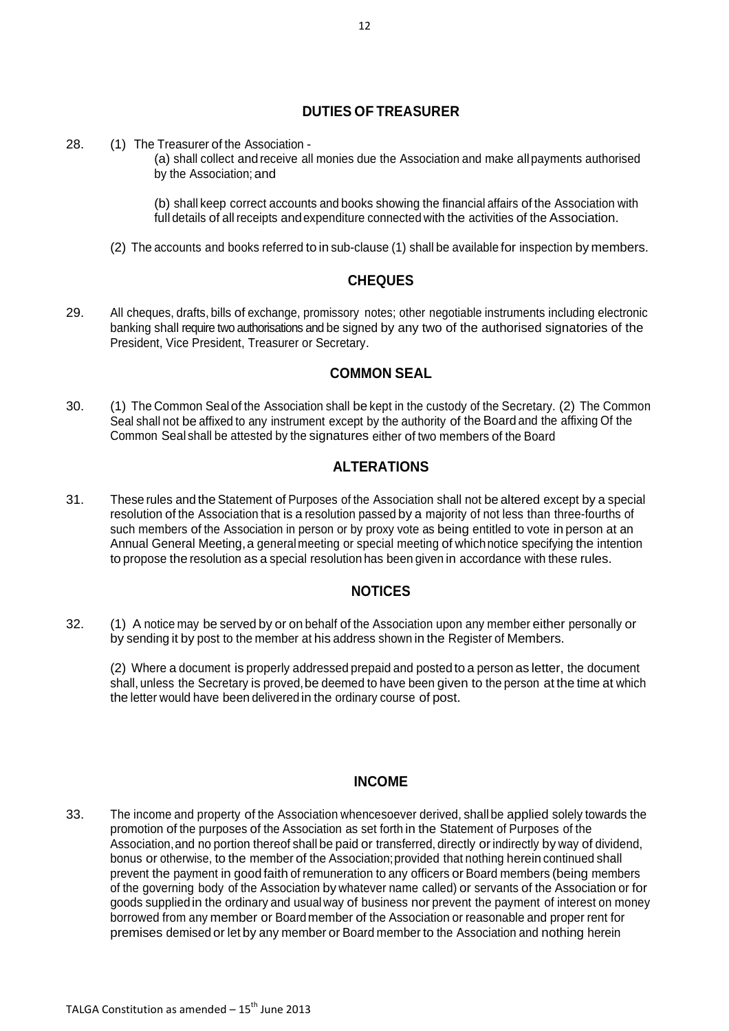## **DUTIES OF TREASURER**

28. (1) The Treasurer of the Association -

(a) shall collect andreceive all monies due the Association and make allpayments authorised by the Association; and

(b) shall keep correct accounts and books showing the financial affairs of the Association with full details of all receipts andexpenditure connected with the activities of the Association.

(2) The accounts and books referred to in sub-clause (1) shall be available for inspection by members.

### **CHEQUES**

29. All cheques, drafts, bills of exchange, promissory notes; other negotiable instruments including electronic banking shall require two authorisations and be signed by any two of the authorised signatories of the President, Vice President, Treasurer or Secretary.

## **COMMON SEAL**

30. (1) The Common Sealof the Association shall be kept in the custody of the Secretary. (2) The Common Seal shall not be affixed to any instrument except by the authority of the Board and the affixing Of the Common Seal shall be attested by the signatures either of two members of the Board

## **ALTERATIONS**

31. These rules and the Statement of Purposes of the Association shall not be altered except by a special resolution of the Association that is a resolution passed by a majority of not less than three-fourths of such members of the Association in person or by proxy vote as being entitled to vote in person at an Annual General Meeting, a generalmeeting or special meeting of whichnotice specifying the intention to propose the resolution as a special resolution has been given in accordance with these rules.

### **NOTICES**

32. (1) A notice may be served by or on behalf of the Association upon any member either personally or by sending it by post to the member at his address shown in the Register of Members.

(2) Where a document is properly addressed prepaid and posted to a person as letter, the document shall, unless the Secretary is proved, be deemed to have been given to the person at the time at which the letter would have been delivered in the ordinary course of post.

### **INCOME**

33. The income and property of the Association whencesoever derived, shall be applied solely towards the promotion of the purposes of the Association as set forth in the Statement of Purposes of the Association,and no portion thereof shall be paid or transferred, directly or indirectly by way of dividend, bonus or otherwise, to the member of the Association;provided that nothing herein continued shall prevent the payment in good faith of remuneration to any officers or Board members (being members of the governing body of the Association by whatever name called) or servants of the Association or for goods suppliedin the ordinary and usual way of business nor prevent the payment of interest on money borrowed from any member or Boardmember of the Association or reasonable and proper rent for premises demised or let by any member or Board member to the Association and nothing herein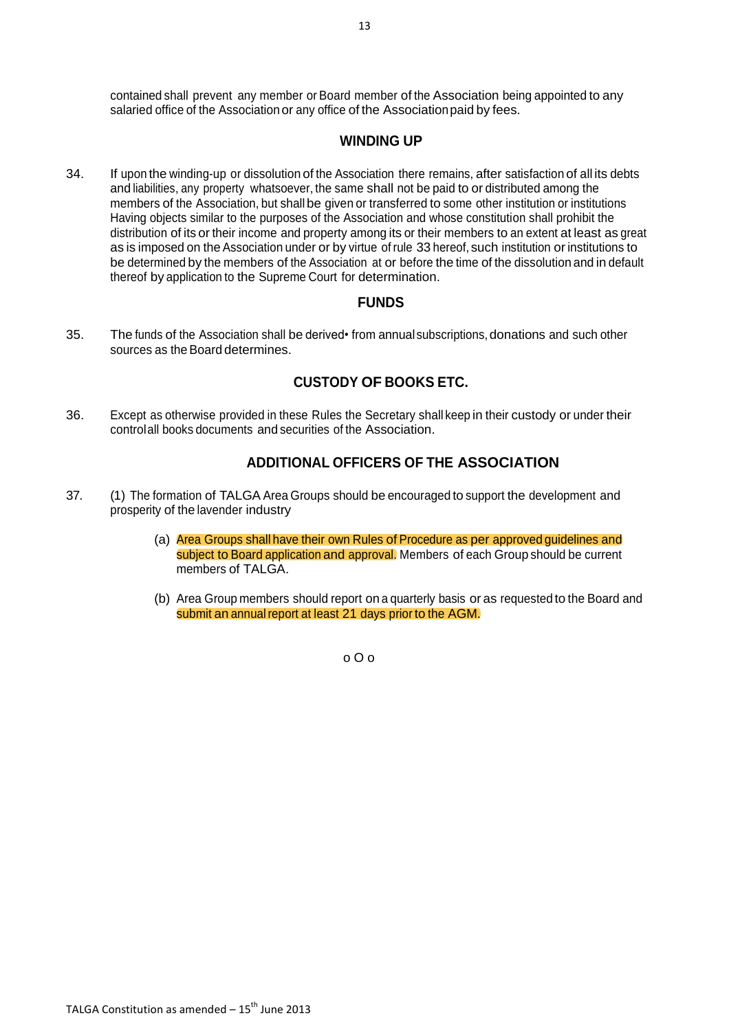## **WINDING UP**

34. If upon the winding-up or dissolution of the Association there remains, after satisfaction of all its debts and liabilities, any property whatsoever, the same shall not be paid to or distributed among the members of the Association, but shall be given or transferred to some other institution or institutions Having objects similar to the purposes of the Association and whose constitution shall prohibit the distribution of its or their income and property among its or their members to an extent at least as great as is imposed on the Association under or by virtue of rule 33 hereof, such institution or institutions to be determined by the members of the Association at or before the time of the dissolution and in default thereof by application to the Supreme Court for determination.

## **FUNDS**

35. The funds of the Association shall be derived• from annualsubscriptions, donations and such other sources as the Board determines.

# **CUSTODY OF BOOKS ETC.**

36. Except as otherwise provided in these Rules the Secretary shall keep in their custody or under their controlall books documents and securities of the Association.

## **ADDITIONAL OFFICERS OF THE ASSOCIATION**

- 37. (1) The formation of TALGA Area Groups should be encouraged to support the development and prosperity of the lavender industry
	- (a) Area Groups shall have their own Rules of Procedure as per approved guidelines and subject to Board application and approval. Members of each Group should be current members of TALGA.
	- (b) Area Group members should report on a quarterly basis or as requested to the Board and submit an annual report at least 21 days prior to the AGM.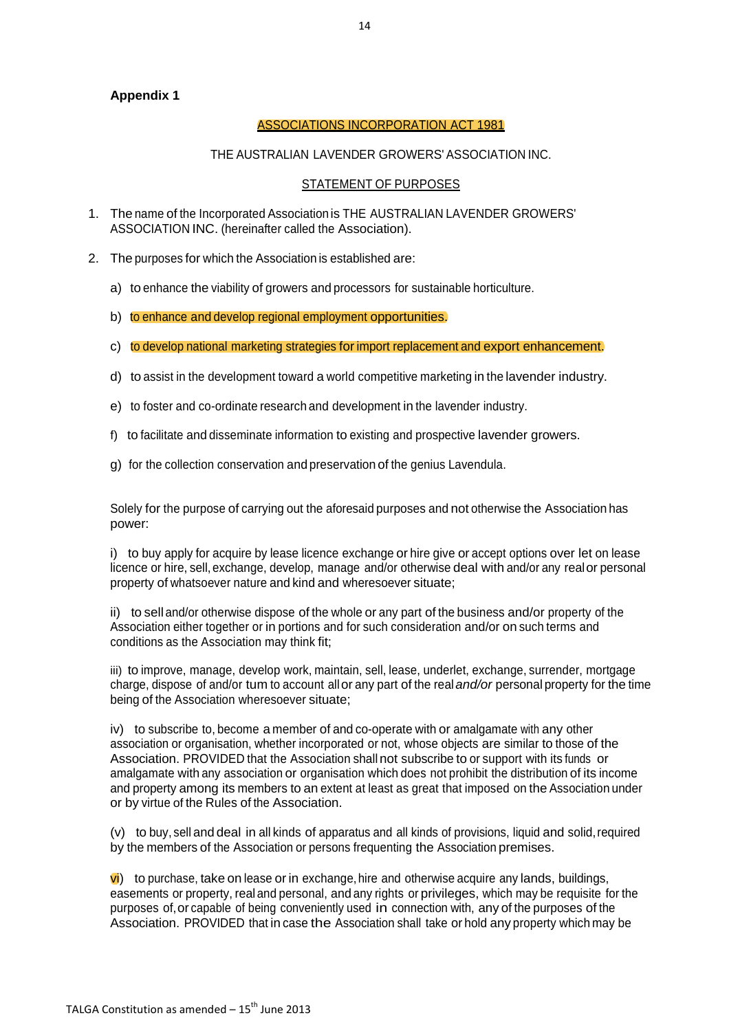### **Appendix 1**

### ASSOCIATIONS INCORPORATION ACT 1981

#### THE AUSTRALIAN LAVENDER GROWERS' ASSOCIATION INC.

### STATEMENT OF PURPOSES

- 1. The name of the Incorporated Associationis THE AUSTRALIAN LAVENDER GROWERS' ASSOCIATION INC. (hereinafter called the Association).
- 2. The purposes for which the Association is established are:
	- a) to enhance the viability of growers and processors for sustainable horticulture.
	- b) to enhance and develop regional employment opportunities.
	- c) to develop national marketing strategies for import replacement and export enhancement.
	- d) to assist in the development toward a world competitive marketing in the lavender industry.
	- e) to foster and co-ordinate research and development in the lavender industry.
	- f) to facilitate and disseminate information to existing and prospective lavender growers.
	- g) for the collection conservation and preservation of the genius Lavendula.

Solely for the purpose of carrying out the aforesaid purposes and not otherwise the Association has power:

i) to buy apply for acquire by lease licence exchange or hire give or accept options over let on lease licence or hire, sell, exchange, develop, manage and/or otherwise deal with and/or any realor personal property of whatsoever nature and kind and wheresoever situate;

ii) to sell and/or otherwise dispose of the whole or any part of the business and/or property of the Association either together or in portions and for such consideration and/or on such terms and conditions as the Association may think fit;

iii) to improve, manage, develop work, maintain, sell, lease, underlet, exchange, surrender, mortgage charge, dispose of and/or tum to account allor any part of the real*and/or* personal property for the time being of the Association wheresoever situate;

iv) to subscribe to, become a member of and co-operate with or amalgamate with any other association or organisation, whether incorporated or not, whose objects are similar to those of the Association. PROVIDED that the Association shall not subscribe to or support with its funds or amalgamate with any association or organisation which does not prohibit the distribution of its income and property among its members to an extent at least as great that imposed on the Association under or by virtue of the Rules of the Association.

(v) to buy, sell and deal in all kinds of apparatus and all kinds of provisions, liquid and solid,required by the members of the Association or persons frequenting the Association premises.

 $\vec{v}$ ) to purchase, take on lease or in exchange, hire and otherwise acquire any lands, buildings, easements or property, realand personal, and any rights or privileges, which may be requisite for the purposes of,or capable of being conveniently used in connection with, any of the purposes of the Association. PROVIDED that in case the Association shall take or hold any property which may be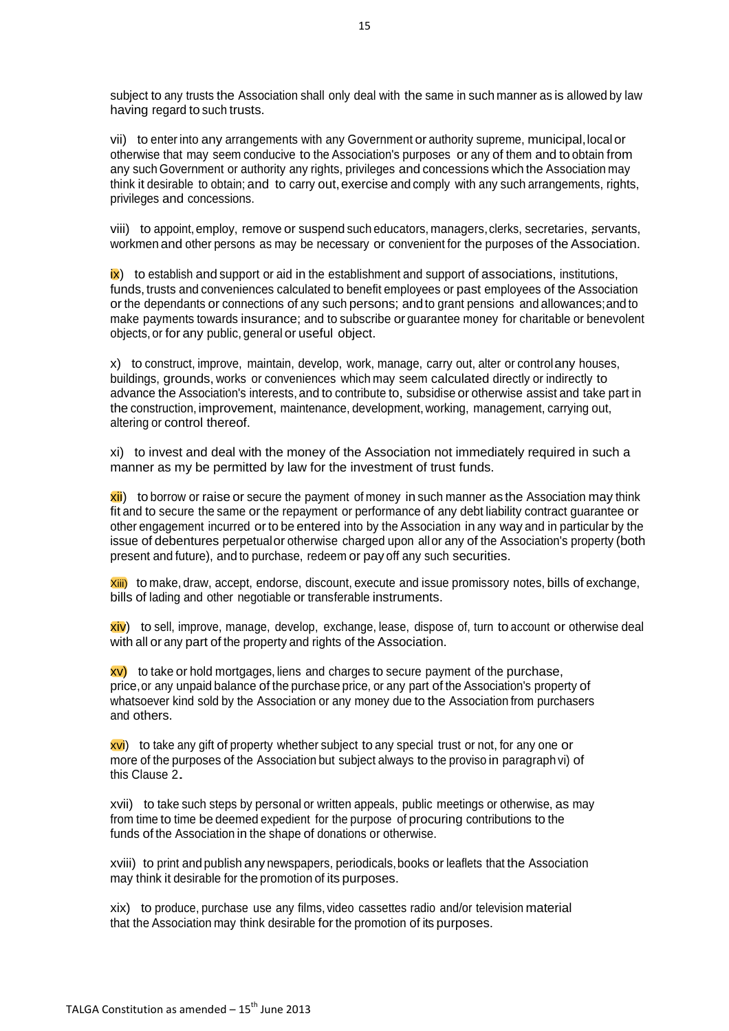subject to any trusts the Association shall only deal with the same in such manner as is allowed by law having regard to such trusts.

vii) to enter into any arrangements with any Government or authority supreme, municipal, local or otherwise that may seem conducive to the Association's purposes or any of them and to obtain from any such Government or authority any rights, privileges and concessions which the Association may think it desirable to obtain; and to carry out,exercise and comply with any such arrangements, rights, privileges and concessions.

viii) to appoint, employ, remove or suspend such educators, managers, clerks, secretaries, servants, workmen and other persons as may be necessary or convenient for the purposes of the Association.

 $\mathbf{\hat{x}}$ ) to establish and support or aid in the establishment and support of associations, institutions, funds, trusts and conveniences calculated to benefit employees or past employees of the Association or the dependants or connections of any such persons; and to grant pensions and allowances;and to make payments towards insurance; and to subscribe or guarantee money for charitable or benevolent objects, or for any public, general or useful object.

x) to construct, improve, maintain, develop, work, manage, carry out, alter or controlany houses, buildings, grounds, works or conveniences which may seem calculated directly or indirectly to advance the Association's interests, and to contribute to, subsidise or otherwise assist and take part in the construction, improvement, maintenance, development, working, management, carrying out, altering or control thereof.

xi) to invest and deal with the money of the Association not immediately required in such a manner as my be permitted by law for the investment of trust funds.

 $x$ ii) to borrow or raise or secure the payment of money in such manner as the Association may think fit and to secure the same or the repayment or performance of any debt liability contract guarantee or other engagement incurred or to be entered into by the Association in any way and in particular by the issue of debentures perpetualor otherwise charged upon allor any of the Association's property (both present and future), and to purchase, redeem or pay off any such securities.

Xiii) to make, draw, accept, endorse, discount, execute and issue promissory notes, bills of exchange, bills of lading and other negotiable or transferable instruments.

xiv) to sell, improve, manage, develop, exchange, lease, dispose of, turn to account or otherwise deal with all or any part of the property and rights of the Association.

 $xv$ ) to take or hold mortgages, liens and charges to secure payment of the purchase, price,or any unpaid balance of the purchase price, or any part of the Association's property of whatsoever kind sold by the Association or any money due to the Association from purchasers and others.

xvi) to take any gift of property whether subject to any special trust or not, for any one or more of the purposes of the Association but subject always to the proviso in paragraph vi) of this Clause 2.

xvii) to take such steps by personal or written appeals, public meetings or otherwise, as may from time to time be deemed expedient for the purpose of procuring contributions to the funds of the Association in the shape of donations or otherwise.

xviii) to print and publish any newspapers, periodicals,books or leaflets that the Association may think it desirable for the promotion of its purposes.

xix) to produce, purchase use any films, video cassettes radio and/or television material that the Association may think desirable for the promotion of its purposes.